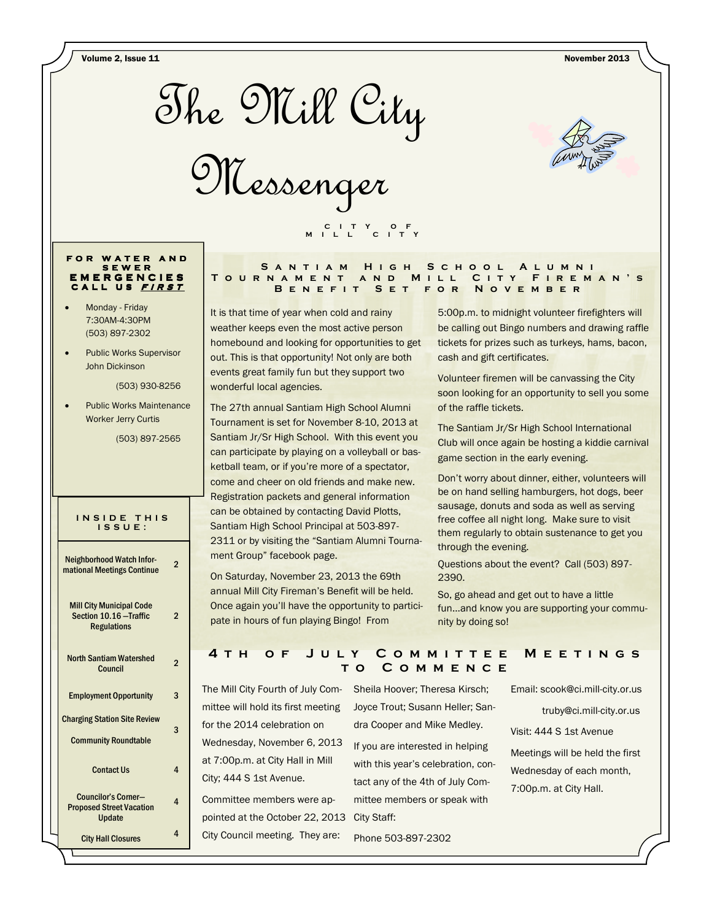Volume 2, Issue 11 November 2013



Messenger



#### FOR WATER AND S E W E R E M E R G E N C I E S CALL US FIRST

- Monday Friday 7:30AM-4:30PM (503) 897-2302
- Public Works Supervisor John Dickinson

(503) 930-8256

• Public Works Maintenance Worker Jerry Curtis

(503) 897-2565

#### INSIDE THIS I S S U E :

| <b>Neighborhood Watch Infor-</b><br>mational Meetings Continue                   | 2 |
|----------------------------------------------------------------------------------|---|
| <b>Mill City Municipal Code</b><br>Section 10.16 - Traffic<br><b>Regulations</b> | 2 |
| <b>North Santiam Watershed</b><br>Council                                        | 2 |
| <b>Employment Opportunity</b>                                                    | 3 |
| <b>Charging Station Site Review</b><br><b>Community Roundtable</b>               | 3 |
| <b>Contact Us</b>                                                                | 4 |
| Councilor's Corner-<br><b>Proposed Street Vacation</b><br>Update                 | 4 |
| <b>City Hall Closures</b>                                                        | 4 |

#### SANTIAM HIGH SCHOOL ALUMNI TOURNAMENT AND MILL CITY FIREMAN'S B E N E F I T S E T F O R N O V E M B E R

It is that time of year when cold and rainy weather keeps even the most active person homebound and looking for opportunities to get out. This is that opportunity! Not only are both events great family fun but they support two wonderful local agencies.

C I T Y O F M I L L C I T Y

The 27th annual Santiam High School Alumni Tournament is set for November 8-10, 2013 at Santiam Jr/Sr High School. With this event you can participate by playing on a volleyball or basketball team, or if you're more of a spectator, come and cheer on old friends and make new. Registration packets and general information can be obtained by contacting David Plotts, Santiam High School Principal at 503-897- 2311 or by visiting the "Santiam Alumni Tournament Group" facebook page.

On Saturday, November 23, 2013 the 69th annual Mill City Fireman's Benefit will be held. Once again you'll have the opportunity to participate in hours of fun playing Bingo! From

5:00p.m. to midnight volunteer firefighters will be calling out Bingo numbers and drawing raffle tickets for prizes such as turkeys, hams, bacon, cash and gift certificates.

Volunteer firemen will be canvassing the City soon looking for an opportunity to sell you some of the raffle tickets.

The Santiam Jr/Sr High School International Club will once again be hosting a kiddie carnival game section in the early evening.

Don't worry about dinner, either, volunteers will be on hand selling hamburgers, hot dogs, beer sausage, donuts and soda as well as serving free coffee all night long. Make sure to visit them regularly to obtain sustenance to get you through the evening.

Questions about the event? Call (503) 897- 2390.

So, go ahead and get out to have a little fun...and know you are supporting your community by doing so!

## 4 T H O F J U L Y C O M M I T T E E M E E T I N G S t o C o m m e n c e

The Mill City Fourth of July Committee will hold its first meeting for the 2014 celebration on Wednesday, November 6, 2013 at 7:00p.m. at City Hall in Mill City; 444 S 1st Avenue.

Committee members were appointed at the October 22, 2013 City Staff: City Council meeting. They are:

Sheila Hoover; Theresa Kirsch; Joyce Trout; Susann Heller; Sandra Cooper and Mike Medley.

If you are interested in helping with this year's celebration, contact any of the 4th of July Committee members or speak with

Phone 503-897-2302

Email: scook@ci.mill-city.or.us

truby@ci.mill-city.or.us

Visit: 444 S 1st Avenue

Meetings will be held the first Wednesday of each month, 7:00p.m. at City Hall.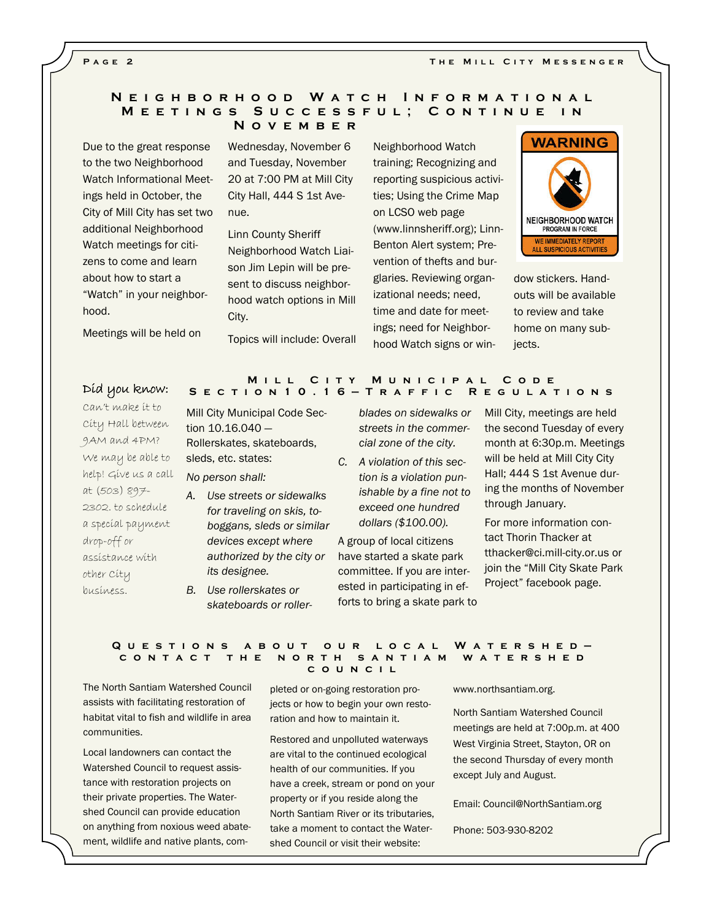PAGE<sub>2</sub>

## N E I G H B O R H O O D W A T C H I N F O R M A T I O N A L M E E T I N G S S U C C E S S F U L ; C O N T I N U E I N N o v e m b e r

Due to the great response to the two Neighborhood Watch Informational Meetings held in October, the City of Mill City has set two additional Neighborhood Watch meetings for citizens to come and learn about how to start a "Watch" in your neighborhood.

Wednesday, November 6 and Tuesday, November 20 at 7:00 PM at Mill City City Hall, 444 S 1st Avenue.

Linn County Sheriff Neighborhood Watch Liaison Jim Lepin will be present to discuss neighborhood watch options in Mill City.

Topics will include: Overall

Neighborhood Watch training; Recognizing and reporting suspicious activities; Using the Crime Map on LCSO web page (www.linnsheriff.org); Linn-Benton Alert system; Prevention of thefts and burglaries. Reviewing organizational needs; need, time and date for meetings; need for Neighborhood Watch signs or win-



dow stickers. Handouts will be available to review and take home on many subjects.

# M I L L C I T Y M U N I C I PAL C O D E<br>Did you know: S E C T I O N 1 0 . 1 6 – T R A F F I C R E G U L A T I O N S

Meetings will be held on

Can't make it to City Hall between 9AM and 4PM? We may be able to help! Give us a call at (503) 897- 2302. to schedule a special payment drop-off or assistance with other City business.

Mill City Municipal Code Section 10.16.040 — Rollerskates, skateboards, sleds, etc. states: No person shall:

- A. Use streets or sidewalks for traveling on skis, toboggans, sleds or similar devices except where authorized by the city or its designee.
- B. Use rollerskates or skateboards or roller-

blades on sidewalks or streets in the commercial zone of the city.

C. A violation of this section is a violation punishable by a fine not to exceed one hundred dollars (\$100.00).

A group of local citizens have started a skate park committee. If you are interested in participating in efforts to bring a skate park to Mill City, meetings are held the second Tuesday of every month at 6:30p.m. Meetings will be held at Mill City City Hall; 444 S 1st Avenue during the months of November through January.

For more information contact Thorin Thacker at tthacker@ci.mill-city.or.us or join the "Mill City Skate Park Project" facebook page.

#### Q U E S TIONS A BOUT OUR LOCAL WATERSHED —<br>CONTACT THE NORTH SANTIAM WATERSHED C O N T A C T T H E c o u n c i l

The North Santiam Watershed Council assists with facilitating restoration of habitat vital to fish and wildlife in area communities.

Local landowners can contact the Watershed Council to request assistance with restoration projects on their private properties. The Watershed Council can provide education on anything from noxious weed abatement, wildlife and native plants, com-

pleted or on-going restoration projects or how to begin your own restoration and how to maintain it.

Restored and unpolluted waterways are vital to the continued ecological health of our communities. If you have a creek, stream or pond on your property or if you reside along the North Santiam River or its tributaries, take a moment to contact the Watershed Council or visit their website:

www.northsantiam.org.

North Santiam Watershed Council meetings are held at 7:00p.m. at 400 West Virginia Street, Stayton, OR on the second Thursday of every month except July and August.

Email: Council@NorthSantiam.org

Phone: 503-930-8202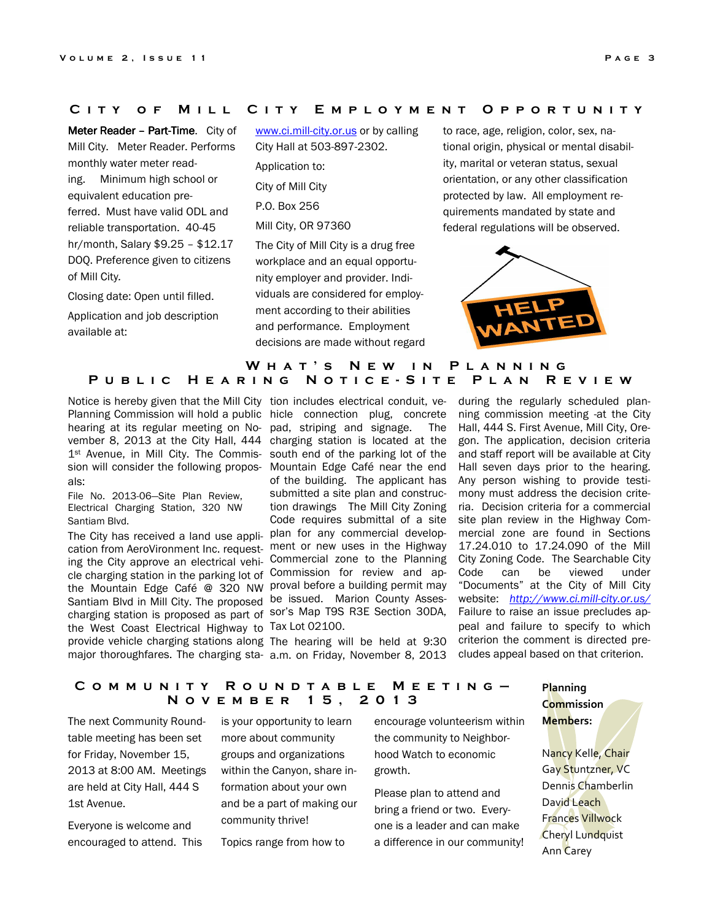## CITY OF MILL CITY EMPLOYMENT OPPORTUNITY

Meter Reader – Part-Time. City of Mill City. Meter Reader. Performs monthly water meter reading. Minimum high school or equivalent education preferred. Must have valid ODL and reliable transportation. 40-45 hr/month, Salary \$9.25 – \$12.17 DOQ. Preference given to citizens of Mill City.

Closing date: Open until filled.

Application and job description available at:

www.ci.mill-city.or.us or by calling City Hall at 503-897-2302.

Application to: City of Mill City P.O. Box 256 Mill City, OR 97360

The City of Mill City is a drug free workplace and an equal opportunity employer and provider. Individuals are considered for employment according to their abilities and performance. Employment decisions are made without regard to race, age, religion, color, sex, national origin, physical or mental disability, marital or veteran status, sexual orientation, or any other classification protected by law. All employment requirements mandated by state and federal regulations will be observed.



## W H A T ' S N E W IN P L A N N I N G PUBLIC HEARING NOTICE-SITE PLAN REVIEW

Planning Commission will hold a public hicle connection plug, concrete hearing at its regular meeting on No- pad, striping and signage. The vember 8, 2013 at the City Hall, 444 charging station is located at the 1<sup>st</sup> Avenue, in Mill City. The Commis- south end of the parking lot of the sion will consider the following propos- Mountain Edge Café near the end als:

File No. 2013-06—Site Plan Review, Electrical Charging Station, 320 NW Santiam Blvd.

cation from AeroVironment Inc. request- ment or new uses in the Highway ing the City approve an electrical vehi- Commercial zone to the Planning cle charging station in the parking lot of Commission for review and apthe Mountain Edge Café @ 320 NW proval before a building permit may Santiam Blvd in Mill City. The proposed be issued. Marion County Assescharging station is proposed as part of sor's Map T9S R3E Section 30DA, the West Coast Electrical Highway to Tax Lot 02100. provide vehicle charging stations along The hearing will be held at 9:30 major thoroughfares. The charging sta- a.m. on Friday, November 8, 2013

Notice is hereby given that the Mill City tion includes electrical conduit, veof the building. The applicant has submitted a site plan and construction drawings The Mill City Zoning Code requires submittal of a site The City has received a land use appli- plan for any commercial develop-

during the regularly scheduled planning commission meeting at the City Hall, 444 S. First Avenue, Mill City, Oregon. The application, decision criteria and staff report will be available at City Hall seven days prior to the hearing. Any person wishing to provide testimony must address the decision criteria. Decision criteria for a commercial site plan review in the Highway Commercial zone are found in Sections 17.24.010 to 17.24.090 of the Mill City Zoning Code. The Searchable City Code can be viewed under "Documents" at the City of Mill City website: http://www.ci.mill-city.or.us/ Failure to raise an issue precludes appeal and failure to specify to which criterion the comment is directed precludes appeal based on that criterion.

## COMMUNITY ROUNDTABLE MEETING-N o v e m b e r 1 5 , 2 0 1 3

The next Community Roundtable meeting has been set for Friday, November 15, 2013 at 8:00 AM. Meetings are held at City Hall, 444 S 1st Avenue.

Everyone is welcome and encouraged to attend. This is your opportunity to learn more about community groups and organizations within the Canyon, share information about your own and be a part of making our community thrive!

Topics range from how to

encourage volunteerism within the community to Neighborhood Watch to economic growth.

Please plan to attend and bring a friend or two. Everyone is a leader and can make a difference in our community! Planning **Commission** Members:

Nancy Kelle, Chair Gay Stuntzner, VC Dennis Chamberlin David Leach Frances Villwock Cheryl Lundquist Ann Carey